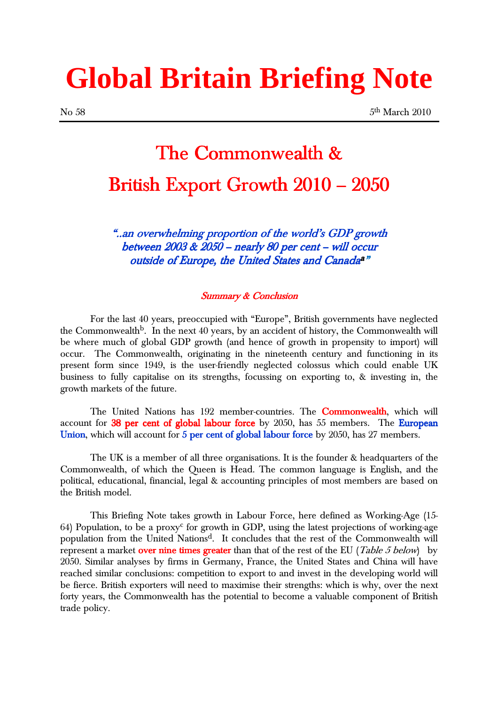# **Global Britain Briefing Note**

### The Commonwealth & British Export Growth 2010 - 2050

"..an overwhelming proportion of the world's GDP growth between 2003 & 2050 – nearly 80 per cent - will occur outside of Europe, the United States and Canada<sup>a</sup>"

#### Summary & Conclusion

For the last 40 years, preoccupied with "Europe", British governments have neglected the Commonwealth<sup>b</sup>. In the next 40 years, by an accident of history, the Commonwealth will be where much of global GDP growth (and hence of growth in propensity to import) will occur. The Commonwealth, originating in the nineteenth century and functioning in its present form since 1949, is the user-friendly neglected colossus which could enable UK business to fully capitalise on its strengths, focussing on exporting to, & investing in, the growth markets of the future.

The United Nations has 192 member-countries. The **Commonwealth**, which will account for 38 per cent of global labour force by 2050, has 55 members. The European Union, which will account for  $5$  per cent of global labour force by 2050, has 27 members.

 The UK is a member of all three organisations. It is the founder & headquarters of the Commonwealth, of which the Queen is Head. The common language is English, and the political, educational, financial, legal & accounting principles of most members are based on the British model.

This Briefing Note takes growth in Labour Force, here defined as Working-Age (15- 64) Population, to be a proxy<sup>c</sup> for growth in GDP, using the latest projections of working-age population from the United Nations<sup>d</sup>. It concludes that the rest of the Commonwealth will represent a market over nine times greater than that of the rest of the EU (*Table 5 below*) by 2050. Similar analyses by firms in Germany, France, the United States and China will have reached similar conclusions: competition to export to and invest in the developing world will be fierce. British exporters will need to maximise their strengths: which is why, over the next forty years, the Commonwealth has the potential to become a valuable component of British trade policy.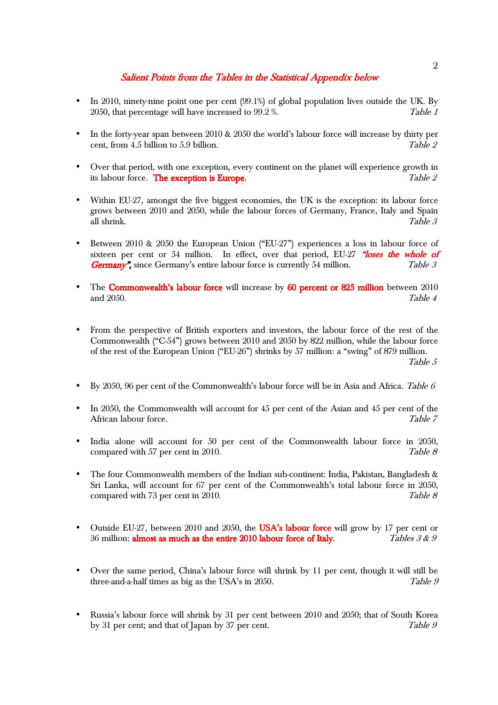#### Salient Points from the Tables in the Statistical Appendix below

- In 2010, ninety-nine point one per cent (99.1%) of global population lives outside the UK. By 2050, that percentage will have increased to 99.2 %. Table 1
- In the forty-year span between  $2010 \& 2050$  the world's labour force will increase by thirty per cent, from 4.5 billion to 5.9 billion.  $Table 2$
- Over that period, with one exception, every continent on the planet will experience growth in its labour force. **The exception is Europe.**  $Table\ 2$
- Within EU-27, amongst the five biggest economies, the UK is the exception: its labour force grows between 2010 and 2050, while the labour forces of Germany, France, Italy and Spain all shrink.  $Table\ 3$
- Between 2010 & 2050 the European Union ("EU-27") experiences a loss in labour force of sixteen per cent or 54 million. In effect, over that period, EU-27 "loses the whole of **Germany''**, since Germany's entire labour force is currently 54 million. Table 3
- The Commonwealth's labour force will increase by 60 percent or 825 million between 2010 and  $2050$ .  $Table\ 4$
- From the perspective of British exporters and investors, the labour force of the rest of the Commonwealth ("C-54") grows between 2010 and 2050 by 822 million, while the labour force of the rest of the European Union ("EU-26") shrinks by 57 million: a "swing" of 879 million. Table 5
- By 2050, 96 per cent of the Commonwealth's labour force will be in Asia and Africa. Table  $6$
- In 2050, the Commonwealth will account for 45 per cent of the Asian and 45 per cent of the African labour force. Table 7
- India alone will account for 50 per cent of the Commonwealth labour force in 2050, compared with 57 per cent in 2010. Table 8
- The four Commonwealth members of the Indian sub-continent: India, Pakistan, Bangladesh & Sri Lanka, will account for  $67$  per cent of the Commonwealth's total labour force in 2050, compared with 73 per cent in 2010. Table 8
- Outside EU-27, between 2010 and 2050, the USA's labour force will grow by 17 per cent or 36 million: almost as much as the entire 2010 labour force of Italy. Tables  $3 & 9$
- Over the same period, China's labour force will shrink by 11 per cent, though it will still be three-and-a-half times as big as the USA's in 2050. Table  $g$ three-and-a-half times as big as the USA's in 2050.
- Russia's labour force will shrink by 31 per cent between 2010 and 2050; that of South Korea by 31 per cent; and that of Japan by 37 per cent. Table 9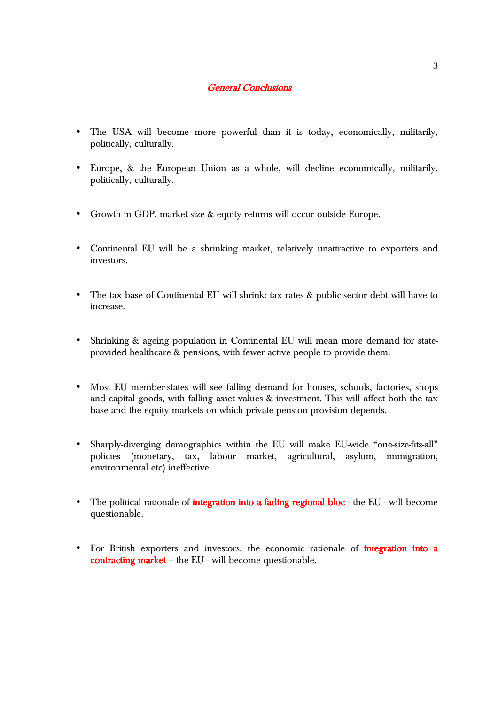#### **General Conclusions**

- The USA will become more powerful than it is today, economically, militarily, politically, culturally.
- Europe, & the European Union as a whole, will decline economically, militarily, politically, culturally.
- Growth in GDP, market size & equity returns will occur outside Europe.
- Continental EU will be a shrinking market, relatively unattractive to exporters and investors.
- The tax base of Continental EU will shrink: tax rates & public-sector debt will have to increase.
- Shrinking & ageing population in Continental EU will mean more demand for stateprovided healthcare & pensions, with fewer active people to provide them.
- Most EU member-states will see falling demand for houses, schools, factories, shops and capital goods, with falling asset values & investment. This will affect both the tax base and the equity markets on which private pension provision depends.
- Sharply-diverging demographics within the EU will make EU-wide "one-size-fits-all" policies (monetary, tax, labour market, agricultural, asylum, immigration, environmental etc) ineffective.
- The political rationale of **integration into a fading regional bloc** the EU will become questionable.
- For British exporters and investors, the economic rationale of *integration* into a contracting market – the EU - will become questionable.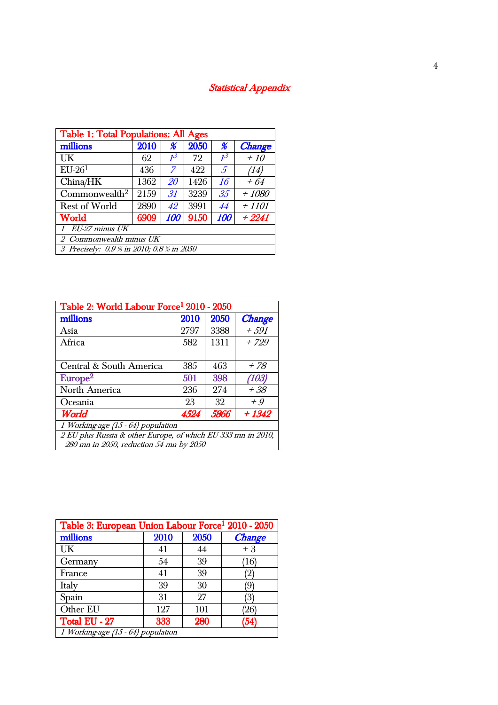### Statistical Appendix

| <b>Table 1: Total Populations: All Ages</b>           |      |                |      |                 |               |  |  |
|-------------------------------------------------------|------|----------------|------|-----------------|---------------|--|--|
| millions                                              | 2010 | $\%$           | 2050 | $\%$            | <b>Change</b> |  |  |
| UK                                                    | 62   | 1 <sup>3</sup> | 72   | $1^3$           | $+10$         |  |  |
| $EU-261$                                              | 436  | $\overline{z}$ | 422  | $\mathcal{F}$   | (14)          |  |  |
| China/HK                                              | 1362 | 20             | 1426 | 16              | $+64$         |  |  |
| Commonwealth <sup>2</sup>                             | 2159 | 31             | 3239 | 35 <sup>5</sup> | $+1080$       |  |  |
| <b>Rest of World</b>                                  | 2890 | 42             | 3991 | 44              | $+1101$       |  |  |
| 9150<br><b>World</b><br>6909<br>100<br>$+2241$<br>100 |      |                |      |                 |               |  |  |
| $1$ EU-27 minus UK                                    |      |                |      |                 |               |  |  |
| 2 Commonwealth minus UK                               |      |                |      |                 |               |  |  |
| 3 Precisely: 0.9 % in 2010; 0.8 % in 2050             |      |                |      |                 |               |  |  |

| Table 2: World Labour Force <sup>1</sup> 2010 - 2050         |      |      |               |  |  |  |
|--------------------------------------------------------------|------|------|---------------|--|--|--|
| millions                                                     | 2010 | 2050 | <b>Change</b> |  |  |  |
| Asia                                                         | 2797 | 3388 | $+591$        |  |  |  |
| Africa                                                       | 582  | 1311 | $+729$        |  |  |  |
|                                                              |      |      |               |  |  |  |
| Central & South America                                      | 385  | 463  | + 78          |  |  |  |
| Europe <sup>2</sup>                                          | 501  | 398  | (103)         |  |  |  |
| North America                                                | 236  | 274  | + 38          |  |  |  |
| 32<br>23<br>$+9$<br>Oceania.                                 |      |      |               |  |  |  |
| 5866<br>$+1342$<br>World<br>4524                             |      |      |               |  |  |  |
| 1 Working-age (15 - 64) population                           |      |      |               |  |  |  |
| 2 EU plus Russia & other Europe, of which EU 333 mn in 2010, |      |      |               |  |  |  |
| 280 mn in 2050, reduction 54 mn by 2050                      |      |      |               |  |  |  |

| Table 3: European Union Labour Force <sup>1</sup> 2010 - 2050 |      |      |                        |  |  |
|---------------------------------------------------------------|------|------|------------------------|--|--|
| millions                                                      | 2010 | 2050 | <b>Change</b>          |  |  |
| UK                                                            | 41   | 44   | $+3$                   |  |  |
| Germany                                                       | 54   | 39   | $^{\prime}16^{\prime}$ |  |  |
| France                                                        | 41   | 39   | 2                      |  |  |
| Italy                                                         | 39   | 30   |                        |  |  |
| Spain                                                         | 31   | 27   | З                      |  |  |
| Other EU                                                      | 127  | 101  |                        |  |  |
| Total EU - 27                                                 | 333  | 280  | (54                    |  |  |
| 1 Working-age (15 - 64) population                            |      |      |                        |  |  |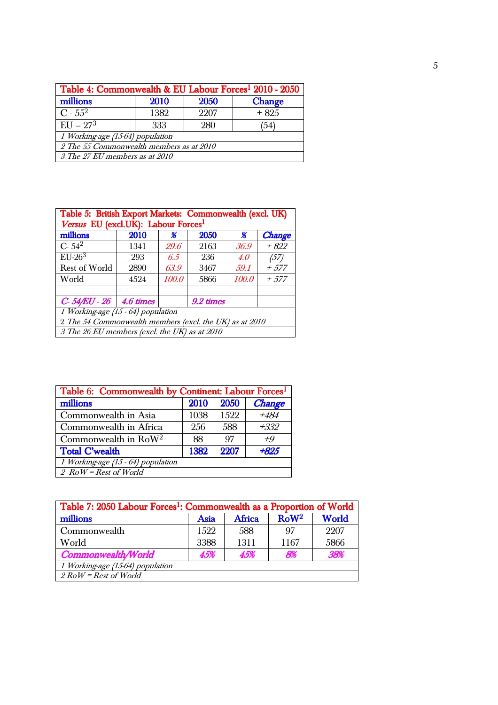| Table 4: Commonwealth & EU Labour Forces <sup>1</sup> 2010 - 2050 |                        |      |        |  |  |
|-------------------------------------------------------------------|------------------------|------|--------|--|--|
| millions                                                          | 2050<br>2010<br>Change |      |        |  |  |
| $C - 55^2$                                                        | 1382                   | 2207 | $+825$ |  |  |
| $\overline{EU} - 27^{3}$                                          | 333                    | 280  | (54)   |  |  |
| 1 Working-age (15-64) population                                  |                        |      |        |  |  |
| 2 The 55 Commonwealth members as at 2010                          |                        |      |        |  |  |
| 3 The 27 EU members as at 2010                                    |                        |      |        |  |  |

| Table 5: British Export Markets: Commonwealth (excl. UK) |      |       |      |               |               |  |
|----------------------------------------------------------|------|-------|------|---------------|---------------|--|
| Versus EU (excl.UK): Labour Forces <sup>1</sup>          |      |       |      |               |               |  |
| millions                                                 | 2010 | ℋ     | 2050 | $\frac{a}{b}$ | <b>Change</b> |  |
| $C - 54^2$                                               | 1341 | 29.6  | 2163 | 36.9          | $+822$        |  |
| $EU-263$                                                 | 293  | 6.5   | 236  | 4.0           | (57)          |  |
| <b>Rest of World</b>                                     | 2890 | 63.9  | 3467 | .59.1         | $+ .577$      |  |
| World                                                    | 4524 | 100.0 | 5866 | 100.0         | $+ .577$      |  |
|                                                          |      |       |      |               |               |  |
| $C - 54/EU - 26$ 4.6 times<br>9.2 times                  |      |       |      |               |               |  |
| 1 Working-age (15 - 64) population                       |      |       |      |               |               |  |
| 2 The 54 Commonwealth members (excl. the UK) as at 2010  |      |       |      |               |               |  |
| 3 The 26 EU members (excl. the UK) as at 2010            |      |       |      |               |               |  |

| Table 6: Commonwealth by Continent: Labour Forces <sup>1</sup> |      |       |               |  |  |
|----------------------------------------------------------------|------|-------|---------------|--|--|
| millions                                                       | 2010 | 20.50 | <b>Change</b> |  |  |
| Commonwealth in Asia                                           | 1038 | 1522  | $+484$        |  |  |
| Commonwealth in Africa                                         | 256  | 588   | $+332$        |  |  |
| Commonwealth in $Row2$                                         | 88   | 97    | $+9$          |  |  |
| <b>Total C'wealth</b>                                          | 1382 | 2207  | $+82.5$       |  |  |
| 1 Working-age (15 - 64) population                             |      |       |               |  |  |
| $2$ RoW = Rest of World                                        |      |       |               |  |  |

| Table 7: 2050 Labour Forces <sup>1</sup> : Commonwealth as a Proportion of World |             |               |                 |              |  |
|----------------------------------------------------------------------------------|-------------|---------------|-----------------|--------------|--|
| millions                                                                         | <b>Asia</b> | <b>Africa</b> | $RoW^2$         | <b>World</b> |  |
| Commonwealth                                                                     | 1522        | 588           | $\overline{07}$ | 2207         |  |
| World                                                                            | 3388        | 1311          | 1167            | 5866         |  |
| <b>Commonwealth/World</b>                                                        | 4.5%        | 4.5%          | 8%              | 38%          |  |
| 1 Working-age (15-64) population                                                 |             |               |                 |              |  |
| $2$ RoW = Rest of World                                                          |             |               |                 |              |  |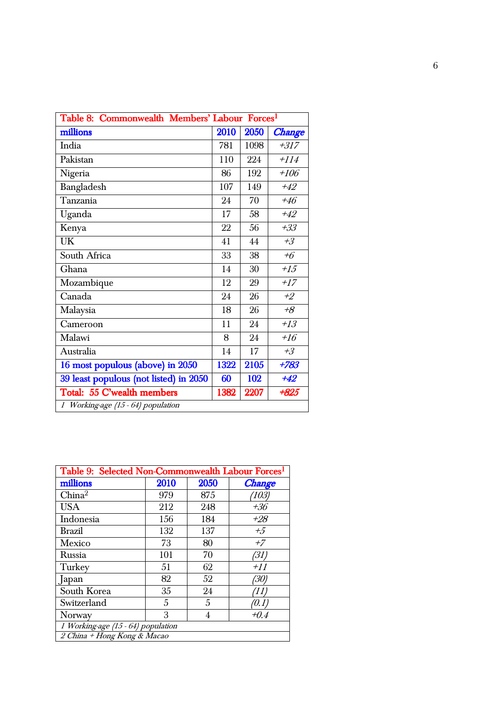| Table 8: Commonwealth Members' Labour Forces <sup>1</sup> |      |      |               |
|-----------------------------------------------------------|------|------|---------------|
| millions                                                  | 2010 | 2050 | <b>Change</b> |
| India                                                     | 781  | 1098 | $+317$        |
| Pakistan                                                  | 110  | 224  | $+114$        |
| Nigeria                                                   | 86   | 192  | $+106$        |
| Bangladesh                                                | 107  | 149  | $+42$         |
| Tanzania                                                  | 24   | 70   | $+46$         |
| Uganda                                                    | 17   | 58   | $+42$         |
| Kenya                                                     | 22   | 56   | $+33$         |
| <b>UK</b>                                                 | 41   | 44   | $+3$          |
| South Africa                                              | 33   | 38   | $+6$          |
| Ghana                                                     | 14   | 30   | $+15$         |
| Mozambique                                                | 12   | 29   | $+17$         |
| Canada                                                    | 24   | 26   | $+2$          |
| Malaysia                                                  | 18   | 26   | $+8$          |
| Cameroon                                                  | 11   | 24   | $+13$         |
| Malawi                                                    | 8    | 24   | $+16$         |
| Australia                                                 | 14   | 17   | $+3$          |
| 16 most populous (above) in 2050                          | 1322 | 2105 | $+783$        |
| 39 least populous (not listed) in 2050                    | 60   | 102  | $+42$         |
| Total: 55 C'wealth members                                | 1382 | 2207 | $+825$        |
| 1 Working-age (15 - 64) population                        |      |      |               |

| Table 9: Selected Non-Commonwealth Labour Forces <sup>1</sup> |      |      |               |  |  |
|---------------------------------------------------------------|------|------|---------------|--|--|
| millions                                                      | 2010 | 2050 | <b>Change</b> |  |  |
| China <sup>2</sup>                                            | 979  | 875  | (103)         |  |  |
| <b>USA</b>                                                    | 212  | 248  | $+36$         |  |  |
| Indonesia                                                     | 156  | 184  | $+28$         |  |  |
| <b>Brazil</b>                                                 | 132  | 137  | $+5$          |  |  |
| Mexico                                                        | 73   | 80   | $+7$          |  |  |
| Russia                                                        | 101  | 70   | (31)          |  |  |
| Turkey                                                        | 51   | 62   | $+11$         |  |  |
| Japan                                                         | 82   | 52   | (30)          |  |  |
| South Korea                                                   | 35   | 24   | (11)          |  |  |
| Switzerland                                                   | 5    | 5    | '0.1,         |  |  |
| Norway                                                        | 3    | 4    | +0.4          |  |  |
| 1 Working-age (15 - 64) population                            |      |      |               |  |  |
| 2 China + Hong Kong & Macao                                   |      |      |               |  |  |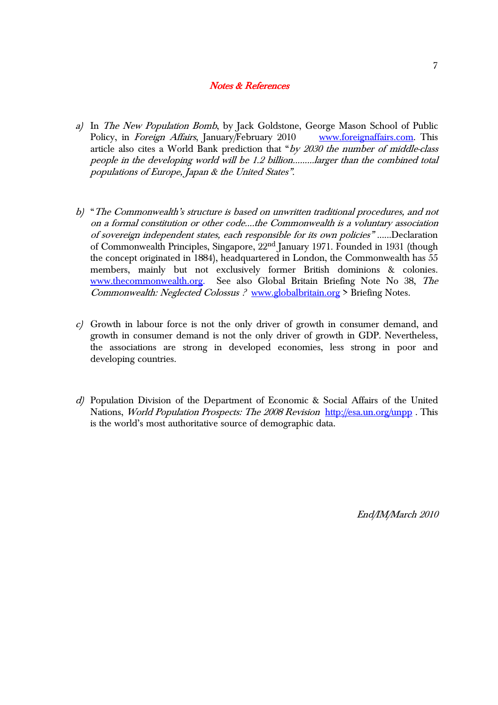#### Notes & References

- a) In The New Population Bomb, by Jack Goldstone, George Mason School of Public Policy, in Foreign Affairs, January/February 2010 www.foreignaffairs.com. This article also cites a World Bank prediction that "by 2030 the number of middle-class people in the developing world will be 1.2 billion.........larger than the combined total populations of Europe, Japan & the United States".
- b) "The Commonwealth's structure is based on unwritten traditional procedures, and not on a formal constitution or other code....the Commonwealth is a voluntary association of sovereign independent states, each responsible for its own policies"......Declaration of Commonwealth Principles, Singapore, 22nd January 1971. Founded in 1931 (though the concept originated in 1884), headquartered in London, the Commonwealth has 55 members, mainly but not exclusively former British dominions & colonies. www.thecommonwealth.org. See also Global Britain Briefing Note No 38, The Commonwealth: Neglected Colossus ? www.globalbritain.org > Briefing Notes.
- c) Growth in labour force is not the only driver of growth in consumer demand, and growth in consumer demand is not the only driver of growth in GDP. Nevertheless, the associations are strong in developed economies, less strong in poor and developing countries.
- d) Population Division of the Department of Economic & Social Affairs of the United Nations, *World Population Prospects: The 2008 Revision* http://esa.un.org/unpp. This is the world's most authoritative source of demographic data.

End/IM/March 2010